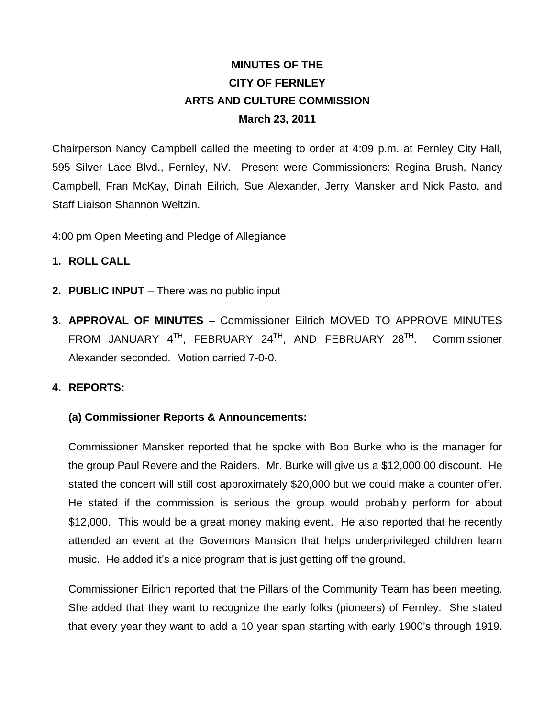# **MINUTES OF THE CITY OF FERNLEY ARTS AND CULTURE COMMISSION March 23, 2011**

Chairperson Nancy Campbell called the meeting to order at 4:09 p.m. at Fernley City Hall, 595 Silver Lace Blvd., Fernley, NV. Present were Commissioners: Regina Brush, Nancy Campbell, Fran McKay, Dinah Eilrich, Sue Alexander, Jerry Mansker and Nick Pasto, and Staff Liaison Shannon Weltzin.

4:00 pm Open Meeting and Pledge of Allegiance

- **1. ROLL CALL**
- **2. PUBLIC INPUT**  There was no public input
- **3. APPROVAL OF MINUTES**  Commissioner Eilrich MOVED TO APPROVE MINUTES FROM JANUARY  $4^{TH}$ , FEBRUARY  $24^{TH}$ , AND FEBRUARY  $28^{TH}$ . Commissioner Alexander seconded. Motion carried 7-0-0.

#### **4. REPORTS:**

#### **(a) Commissioner Reports & Announcements:**

Commissioner Mansker reported that he spoke with Bob Burke who is the manager for the group Paul Revere and the Raiders. Mr. Burke will give us a \$12,000.00 discount. He stated the concert will still cost approximately \$20,000 but we could make a counter offer. He stated if the commission is serious the group would probably perform for about \$12,000. This would be a great money making event. He also reported that he recently attended an event at the Governors Mansion that helps underprivileged children learn music. He added it's a nice program that is just getting off the ground.

Commissioner Eilrich reported that the Pillars of the Community Team has been meeting. She added that they want to recognize the early folks (pioneers) of Fernley. She stated that every year they want to add a 10 year span starting with early 1900's through 1919.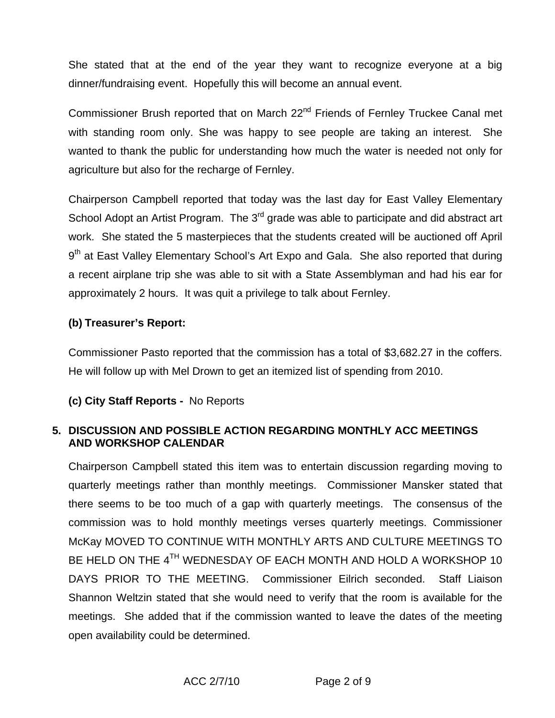She stated that at the end of the year they want to recognize everyone at a big dinner/fundraising event. Hopefully this will become an annual event.

Commissioner Brush reported that on March 22<sup>nd</sup> Friends of Fernley Truckee Canal met with standing room only. She was happy to see people are taking an interest. She wanted to thank the public for understanding how much the water is needed not only for agriculture but also for the recharge of Fernley.

Chairperson Campbell reported that today was the last day for East Valley Elementary School Adopt an Artist Program. The 3<sup>rd</sup> grade was able to participate and did abstract art work. She stated the 5 masterpieces that the students created will be auctioned off April 9<sup>th</sup> at East Valley Elementary School's Art Expo and Gala. She also reported that during a recent airplane trip she was able to sit with a State Assemblyman and had his ear for approximately 2 hours. It was quit a privilege to talk about Fernley.

## **(b) Treasurer's Report:**

Commissioner Pasto reported that the commission has a total of \$3,682.27 in the coffers. He will follow up with Mel Drown to get an itemized list of spending from 2010.

# **(c) City Staff Reports -** No Reports

## **5. DISCUSSION AND POSSIBLE ACTION REGARDING MONTHLY ACC MEETINGS AND WORKSHOP CALENDAR**

Chairperson Campbell stated this item was to entertain discussion regarding moving to quarterly meetings rather than monthly meetings. Commissioner Mansker stated that there seems to be too much of a gap with quarterly meetings. The consensus of the commission was to hold monthly meetings verses quarterly meetings. Commissioner McKay MOVED TO CONTINUE WITH MONTHLY ARTS AND CULTURE MEETINGS TO BE HELD ON THE 4<sup>TH</sup> WEDNESDAY OF EACH MONTH AND HOLD A WORKSHOP 10 DAYS PRIOR TO THE MEETING. Commissioner Eilrich seconded. Staff Liaison Shannon Weltzin stated that she would need to verify that the room is available for the meetings. She added that if the commission wanted to leave the dates of the meeting open availability could be determined.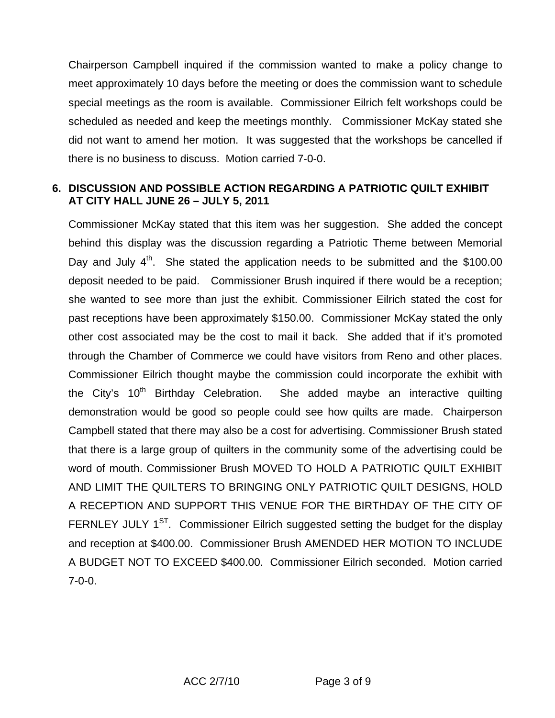Chairperson Campbell inquired if the commission wanted to make a policy change to meet approximately 10 days before the meeting or does the commission want to schedule special meetings as the room is available. Commissioner Eilrich felt workshops could be scheduled as needed and keep the meetings monthly. Commissioner McKay stated she did not want to amend her motion. It was suggested that the workshops be cancelled if there is no business to discuss. Motion carried 7-0-0.

## **6. DISCUSSION AND POSSIBLE ACTION REGARDING A PATRIOTIC QUILT EXHIBIT AT CITY HALL JUNE 26 – JULY 5, 2011**

Commissioner McKay stated that this item was her suggestion. She added the concept behind this display was the discussion regarding a Patriotic Theme between Memorial Day and July  $4<sup>th</sup>$ . She stated the application needs to be submitted and the \$100.00 deposit needed to be paid. Commissioner Brush inquired if there would be a reception; she wanted to see more than just the exhibit. Commissioner Eilrich stated the cost for past receptions have been approximately \$150.00. Commissioner McKay stated the only other cost associated may be the cost to mail it back. She added that if it's promoted through the Chamber of Commerce we could have visitors from Reno and other places. Commissioner Eilrich thought maybe the commission could incorporate the exhibit with the City's  $10<sup>th</sup>$  Birthday Celebration. She added maybe an interactive quilting demonstration would be good so people could see how quilts are made. Chairperson Campbell stated that there may also be a cost for advertising. Commissioner Brush stated that there is a large group of quilters in the community some of the advertising could be word of mouth. Commissioner Brush MOVED TO HOLD A PATRIOTIC QUILT EXHIBIT AND LIMIT THE QUILTERS TO BRINGING ONLY PATRIOTIC QUILT DESIGNS, HOLD A RECEPTION AND SUPPORT THIS VENUE FOR THE BIRTHDAY OF THE CITY OF FERNLEY JULY  $1^{ST}$ . Commissioner Eilrich suggested setting the budget for the display and reception at \$400.00. Commissioner Brush AMENDED HER MOTION TO INCLUDE A BUDGET NOT TO EXCEED \$400.00. Commissioner Eilrich seconded. Motion carried 7-0-0.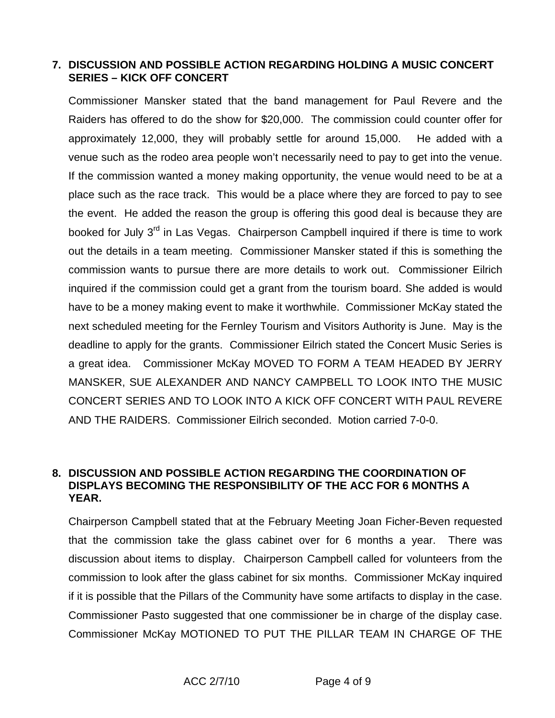# **7. DISCUSSION AND POSSIBLE ACTION REGARDING HOLDING A MUSIC CONCERT SERIES – KICK OFF CONCERT**

Commissioner Mansker stated that the band management for Paul Revere and the Raiders has offered to do the show for \$20,000. The commission could counter offer for approximately 12,000, they will probably settle for around 15,000. He added with a venue such as the rodeo area people won't necessarily need to pay to get into the venue. If the commission wanted a money making opportunity, the venue would need to be at a place such as the race track. This would be a place where they are forced to pay to see the event. He added the reason the group is offering this good deal is because they are booked for July 3<sup>rd</sup> in Las Vegas. Chairperson Campbell inquired if there is time to work out the details in a team meeting. Commissioner Mansker stated if this is something the commission wants to pursue there are more details to work out. Commissioner Eilrich inquired if the commission could get a grant from the tourism board. She added is would have to be a money making event to make it worthwhile. Commissioner McKay stated the next scheduled meeting for the Fernley Tourism and Visitors Authority is June. May is the deadline to apply for the grants. Commissioner Eilrich stated the Concert Music Series is a great idea. Commissioner McKay MOVED TO FORM A TEAM HEADED BY JERRY MANSKER, SUE ALEXANDER AND NANCY CAMPBELL TO LOOK INTO THE MUSIC CONCERT SERIES AND TO LOOK INTO A KICK OFF CONCERT WITH PAUL REVERE AND THE RAIDERS. Commissioner Eilrich seconded. Motion carried 7-0-0.

## **8. DISCUSSION AND POSSIBLE ACTION REGARDING THE COORDINATION OF DISPLAYS BECOMING THE RESPONSIBILITY OF THE ACC FOR 6 MONTHS A YEAR.**

Chairperson Campbell stated that at the February Meeting Joan Ficher-Beven requested that the commission take the glass cabinet over for 6 months a year. There was discussion about items to display. Chairperson Campbell called for volunteers from the commission to look after the glass cabinet for six months. Commissioner McKay inquired if it is possible that the Pillars of the Community have some artifacts to display in the case. Commissioner Pasto suggested that one commissioner be in charge of the display case. Commissioner McKay MOTIONED TO PUT THE PILLAR TEAM IN CHARGE OF THE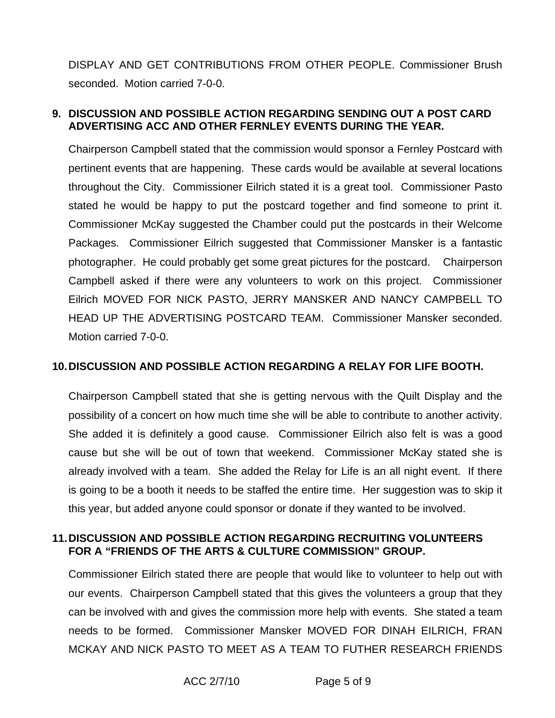DISPLAY AND GET CONTRIBUTIONS FROM OTHER PEOPLE. Commissioner Brush seconded. Motion carried 7-0-0.

## **9. DISCUSSION AND POSSIBLE ACTION REGARDING SENDING OUT A POST CARD ADVERTISING ACC AND OTHER FERNLEY EVENTS DURING THE YEAR.**

Chairperson Campbell stated that the commission would sponsor a Fernley Postcard with pertinent events that are happening. These cards would be available at several locations throughout the City. Commissioner Eilrich stated it is a great tool. Commissioner Pasto stated he would be happy to put the postcard together and find someone to print it. Commissioner McKay suggested the Chamber could put the postcards in their Welcome Packages. Commissioner Eilrich suggested that Commissioner Mansker is a fantastic photographer. He could probably get some great pictures for the postcard. Chairperson Campbell asked if there were any volunteers to work on this project. Commissioner Eilrich MOVED FOR NICK PASTO, JERRY MANSKER AND NANCY CAMPBELL TO HEAD UP THE ADVERTISING POSTCARD TEAM. Commissioner Mansker seconded. Motion carried 7-0-0.

#### **10. DISCUSSION AND POSSIBLE ACTION REGARDING A RELAY FOR LIFE BOOTH.**

Chairperson Campbell stated that she is getting nervous with the Quilt Display and the possibility of a concert on how much time she will be able to contribute to another activity. She added it is definitely a good cause. Commissioner Eilrich also felt is was a good cause but she will be out of town that weekend. Commissioner McKay stated she is already involved with a team. She added the Relay for Life is an all night event. If there is going to be a booth it needs to be staffed the entire time. Her suggestion was to skip it this year, but added anyone could sponsor or donate if they wanted to be involved.

#### **11. DISCUSSION AND POSSIBLE ACTION REGARDING RECRUITING VOLUNTEERS FOR A "FRIENDS OF THE ARTS & CULTURE COMMISSION" GROUP.**

Commissioner Eilrich stated there are people that would like to volunteer to help out with our events. Chairperson Campbell stated that this gives the volunteers a group that they can be involved with and gives the commission more help with events. She stated a team needs to be formed. Commissioner Mansker MOVED FOR DINAH EILRICH, FRAN MCKAY AND NICK PASTO TO MEET AS A TEAM TO FUTHER RESEARCH FRIENDS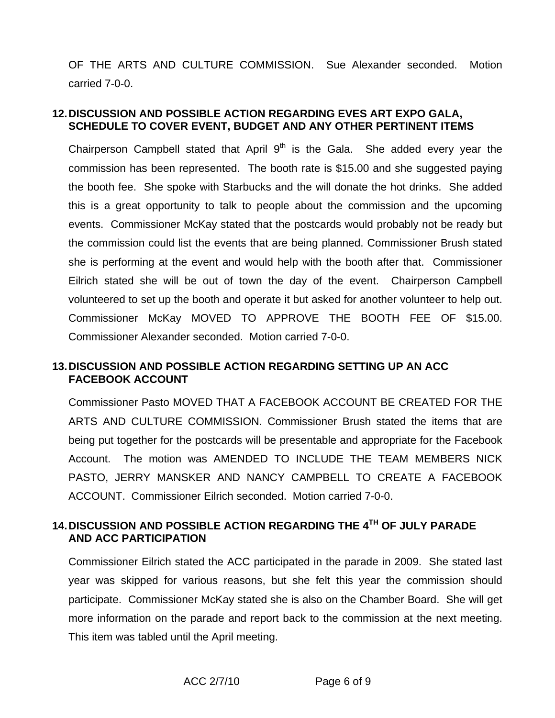OF THE ARTS AND CULTURE COMMISSION. Sue Alexander seconded. Motion carried 7-0-0.

## **12. DISCUSSION AND POSSIBLE ACTION REGARDING EVES ART EXPO GALA, SCHEDULE TO COVER EVENT, BUDGET AND ANY OTHER PERTINENT ITEMS**

Chairperson Campbell stated that April  $9<sup>th</sup>$  is the Gala. She added every year the commission has been represented. The booth rate is \$15.00 and she suggested paying the booth fee. She spoke with Starbucks and the will donate the hot drinks. She added this is a great opportunity to talk to people about the commission and the upcoming events. Commissioner McKay stated that the postcards would probably not be ready but the commission could list the events that are being planned. Commissioner Brush stated she is performing at the event and would help with the booth after that. Commissioner Eilrich stated she will be out of town the day of the event. Chairperson Campbell volunteered to set up the booth and operate it but asked for another volunteer to help out. Commissioner McKay MOVED TO APPROVE THE BOOTH FEE OF \$15.00. Commissioner Alexander seconded. Motion carried 7-0-0.

## **13. DISCUSSION AND POSSIBLE ACTION REGARDING SETTING UP AN ACC FACEBOOK ACCOUNT**

Commissioner Pasto MOVED THAT A FACEBOOK ACCOUNT BE CREATED FOR THE ARTS AND CULTURE COMMISSION. Commissioner Brush stated the items that are being put together for the postcards will be presentable and appropriate for the Facebook Account. The motion was AMENDED TO INCLUDE THE TEAM MEMBERS NICK PASTO, JERRY MANSKER AND NANCY CAMPBELL TO CREATE A FACEBOOK ACCOUNT. Commissioner Eilrich seconded. Motion carried 7-0-0.

# **14. DISCUSSION AND POSSIBLE ACTION REGARDING THE 4TH OF JULY PARADE AND ACC PARTICIPATION**

Commissioner Eilrich stated the ACC participated in the parade in 2009. She stated last year was skipped for various reasons, but she felt this year the commission should participate. Commissioner McKay stated she is also on the Chamber Board. She will get more information on the parade and report back to the commission at the next meeting. This item was tabled until the April meeting.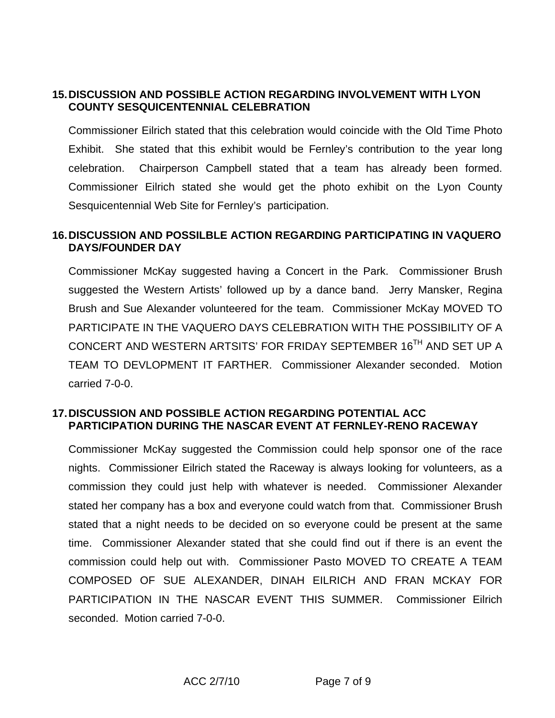# **15. DISCUSSION AND POSSIBLE ACTION REGARDING INVOLVEMENT WITH LYON COUNTY SESQUICENTENNIAL CELEBRATION**

Commissioner Eilrich stated that this celebration would coincide with the Old Time Photo Exhibit. She stated that this exhibit would be Fernley's contribution to the year long celebration. Chairperson Campbell stated that a team has already been formed. Commissioner Eilrich stated she would get the photo exhibit on the Lyon County Sesquicentennial Web Site for Fernley's participation.

## **16. DISCUSSION AND POSSILBLE ACTION REGARDING PARTICIPATING IN VAQUERO DAYS/FOUNDER DAY**

Commissioner McKay suggested having a Concert in the Park. Commissioner Brush suggested the Western Artists' followed up by a dance band. Jerry Mansker, Regina Brush and Sue Alexander volunteered for the team. Commissioner McKay MOVED TO PARTICIPATE IN THE VAQUERO DAYS CELEBRATION WITH THE POSSIBILITY OF A CONCERT AND WESTERN ARTSITS' FOR FRIDAY SEPTEMBER 16TH AND SET UP A TEAM TO DEVLOPMENT IT FARTHER. Commissioner Alexander seconded. Motion carried 7-0-0.

#### **17. DISCUSSION AND POSSIBLE ACTION REGARDING POTENTIAL ACC PARTICIPATION DURING THE NASCAR EVENT AT FERNLEY-RENO RACEWAY**

Commissioner McKay suggested the Commission could help sponsor one of the race nights. Commissioner Eilrich stated the Raceway is always looking for volunteers, as a commission they could just help with whatever is needed. Commissioner Alexander stated her company has a box and everyone could watch from that. Commissioner Brush stated that a night needs to be decided on so everyone could be present at the same time. Commissioner Alexander stated that she could find out if there is an event the commission could help out with. Commissioner Pasto MOVED TO CREATE A TEAM COMPOSED OF SUE ALEXANDER, DINAH EILRICH AND FRAN MCKAY FOR PARTICIPATION IN THE NASCAR EVENT THIS SUMMER. Commissioner Eilrich seconded. Motion carried 7-0-0.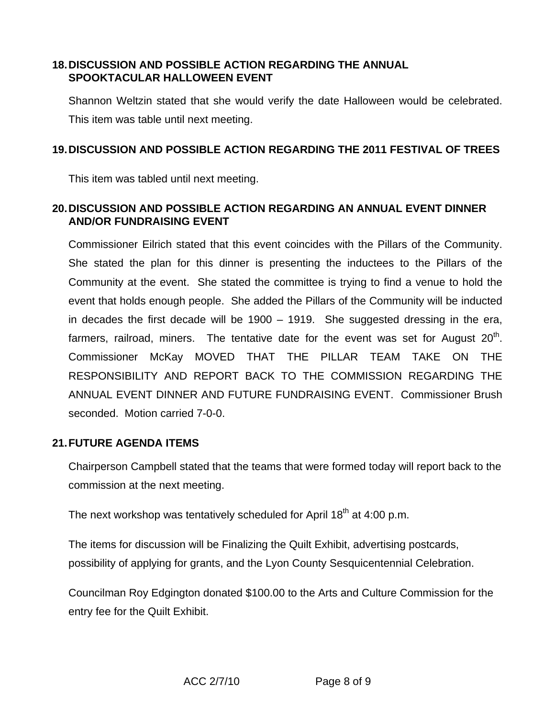# **18. DISCUSSION AND POSSIBLE ACTION REGARDING THE ANNUAL SPOOKTACULAR HALLOWEEN EVENT**

Shannon Weltzin stated that she would verify the date Halloween would be celebrated. This item was table until next meeting.

# **19. DISCUSSION AND POSSIBLE ACTION REGARDING THE 2011 FESTIVAL OF TREES**

This item was tabled until next meeting.

# **20. DISCUSSION AND POSSIBLE ACTION REGARDING AN ANNUAL EVENT DINNER AND/OR FUNDRAISING EVENT**

Commissioner Eilrich stated that this event coincides with the Pillars of the Community. She stated the plan for this dinner is presenting the inductees to the Pillars of the Community at the event. She stated the committee is trying to find a venue to hold the event that holds enough people. She added the Pillars of the Community will be inducted in decades the first decade will be 1900 – 1919. She suggested dressing in the era, farmers, railroad, miners. The tentative date for the event was set for August  $20<sup>th</sup>$ . Commissioner McKay MOVED THAT THE PILLAR TEAM TAKE ON THE RESPONSIBILITY AND REPORT BACK TO THE COMMISSION REGARDING THE ANNUAL EVENT DINNER AND FUTURE FUNDRAISING EVENT. Commissioner Brush seconded. Motion carried 7-0-0.

#### **21. FUTURE AGENDA ITEMS**

Chairperson Campbell stated that the teams that were formed today will report back to the commission at the next meeting.

The next workshop was tentatively scheduled for April 18<sup>th</sup> at 4:00 p.m.

The items for discussion will be Finalizing the Quilt Exhibit, advertising postcards, possibility of applying for grants, and the Lyon County Sesquicentennial Celebration.

Councilman Roy Edgington donated \$100.00 to the Arts and Culture Commission for the entry fee for the Quilt Exhibit.